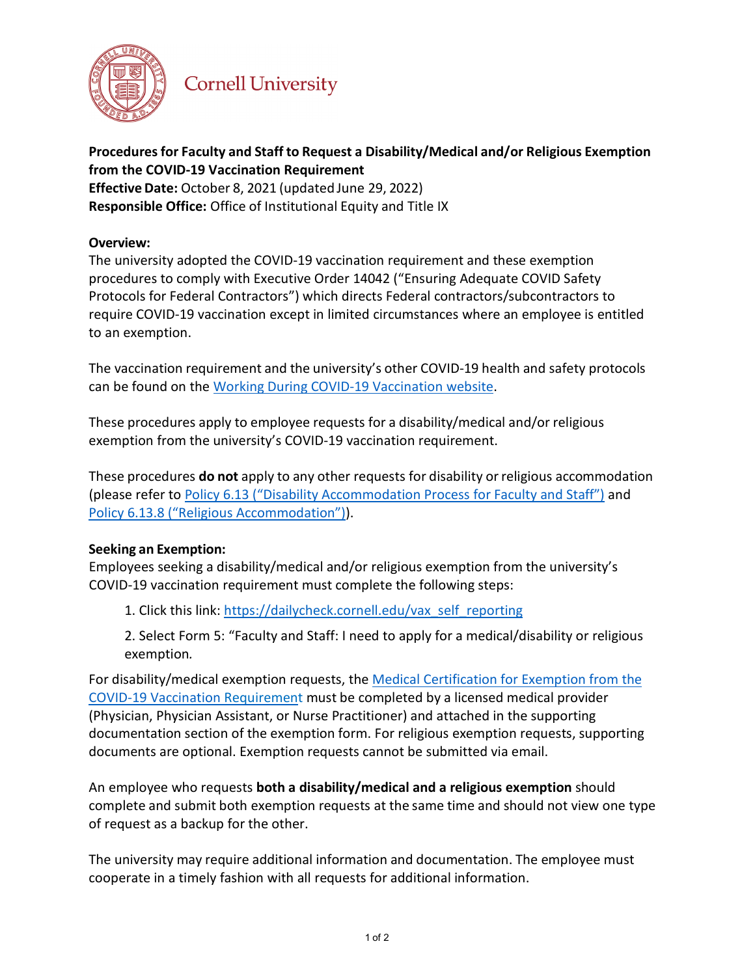

# **Cornell University**

## **Procedures for Faculty and Staff to Request a Disability/Medical and/or Religious Exemption from the COVID-19 Vaccination Requirement**

**Effective Date:** October 8, 2021 (updated June 29, 2022) **Responsible Office:** Office of Institutional Equity and Title IX

### **Overview:**

The university adopted the COVID-19 vaccination requirement and these exemption procedures to comply with Executive Order 14042 ("Ensuring Adequate COVID Safety Protocols for Federal Contractors") which directs Federal contractors/subcontractors to require COVID-19 vaccination except in limited circumstances where an employee is entitled to an exemption.

The vaccination requirement and the university's other COVID-19 health and safety protocols can be found on th[e Working During COVID-19 Vaccination website.](https://hr.cornell.edu/covid/university-response/vaccination)

These procedures apply to employee requests for a disability/medical and/or religious exemption from the university's COVID-19 vaccination requirement.

These procedures **do not** apply to any other requests for disability orreligious accommodation (please refer t[o Policy 6.13 \("Disability Accommodation Process for Faculty and Staff"\)](https://www.dfa.cornell.edu/policy/policies/disability-accommodation-process-faculty-and-staff) and [Policy 6.13.8 \("Religious Accommodation"\)\)](https://www.dfa.cornell.edu/policy/policies/religious-accommodation).

## **Seeking an Exemption:**

Employees seeking a disability/medical and/or religious exemption from the university's COVID-19 vaccination requirement must complete the following steps:

1. Click this link: [https://dailycheck.cornell.edu/vax\\_self\\_reporting](https://dailycheck.cornell.edu/vax_self_reporting)

2. Select Form 5: "Faculty and Staff: I need to apply for a medical/disability or religious exemption*.*

For disability/medical exemption [requests, the Medical Certification for Exemption from the](https://hr.cornell.edu/sites/default/files/documents/medical_certification_for_exemption_from_covid-19_health_and_safety_protocols_form.pdf) [COVID-19 Vac](https://hr.cornell.edu/sites/default/files/documents/medical_certification_for_exemption_from_covid-19_health_and_safety_protocols_form.pdf)cination Requirement must be completed by a licensed medical provider (Physician, Physician Assistant, or Nurse Practitioner) and attached in the supporting documentation section of the exemption form. For religious exemption requests, supporting documents are optional. Exemption requests cannot be submitted via email.

An employee who requests **both a disability/medical and a religious exemption** should complete and submit both exemption requests at the same time and should not view one type of request as a backup for the other.

The university may require additional information and documentation. The employee must cooperate in a timely fashion with all requests for additional information.